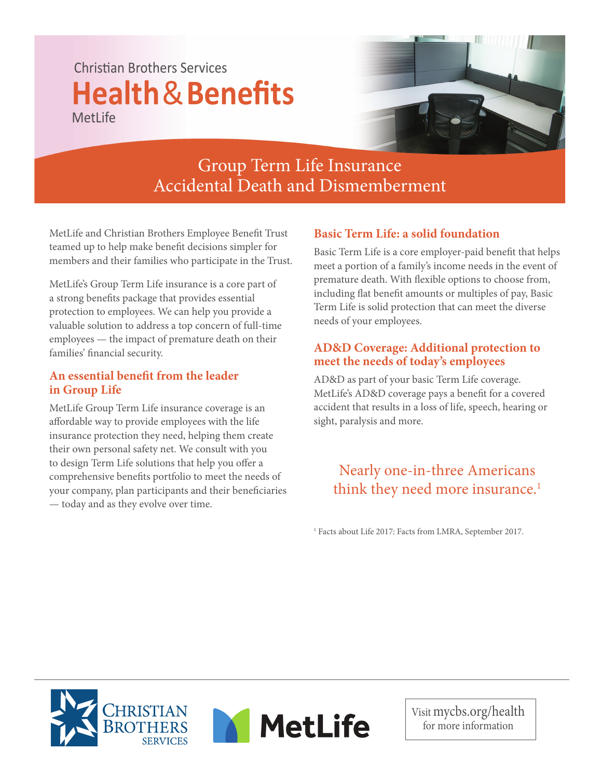# Christian Brothers Services **Health**&**Benefits** MetLife



## Group Term Life Insurance Accidental Death and Dismemberment

MetLife and Christian Brothers Employee Benefit Trust teamed up to help make benefit decisions simpler for members and their families who participate in the Trust.

MetLife's Group Term Life insurance is a core part of a strong benefits package that provides essential protection to employees. We can help you provide a valuable solution to address a top concern of full-time employees — the impact of premature death on their families' financial security.

### An essential benefit from the leader **in Group Life**

MetLife Group Term Life insurance coverage is an affordable way to provide employees with the life insurance protection they need, helping them create their own personal safety net. We consult with you to design Term Life solutions that help you offer a comprehensive benefits portfolio to meet the needs of your company, plan participants and their beneficiaries — today and as they evolve over time.

## **Basic Term Life: a solid foundation**

Basic Term Life is a core employer-paid benefit that helps meet a portion of a family's income needs in the event of premature death. With flexible options to choose from, including flat benefit amounts or multiples of pay, Basic Term Life is solid protection that can meet the diverse needs of your employees.

### **AD&D Coverage: Additional protection to meet the needs of today's employees**

AD&D as part of your basic Term Life coverage. MetLife's AD&D coverage pays a benefit for a covered accident that results in a loss of life, speech, hearing or sight, paralysis and more.

## Nearly one-in-three Americans think they need more insurance.<sup>1</sup>

<sup>1</sup> Facts about Life 2017: Facts from LMRA, September 2017.





Visit mycbs.org/health for more information